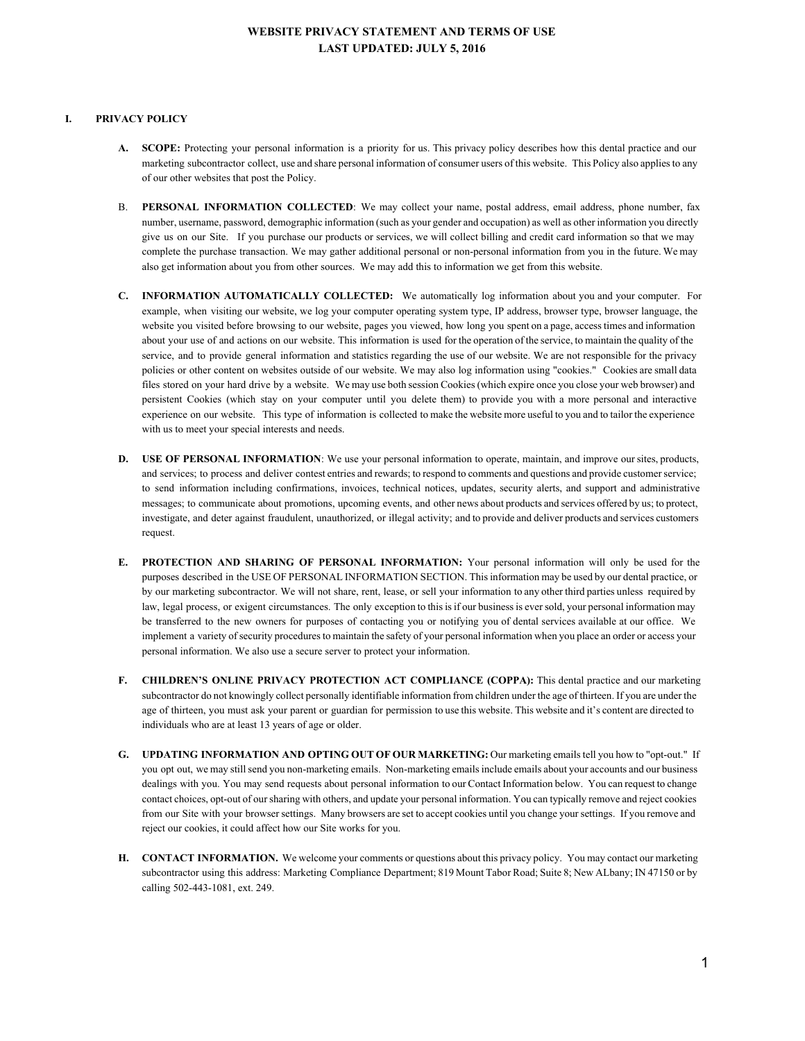## **WEBSITE PRIVACY STATEMENT AND TERMS OF USE LAST UPDATED: JULY 5, 2016**

## **I. PRIVACY POLICY**

- **A. SCOPE:** Protecting your personal information is a priority for us. This privacy policy describes how this dental practice and our marketing subcontractor collect, use and share personal information of consumer users of this website. This Policy also appliesto any of our other websites that post the Policy.
- B. **PERSONAL INFORMATION COLLECTED**: We may collect your name, postal address, email address, phone number, fax number, username, password, demographic information (such as your gender and occupation) as well as other information you directly give us on our Site. If you purchase our products or services, we will collect billing and credit card information so that we may complete the purchase transaction. We may gather additional personal or non-personal information from you in the future. We may also get information about you from other sources. We may add this to information we get from this website.
- **C. INFORMATION AUTOMATICALLY COLLECTED:** We automatically log information about you and your computer. For example, when visiting our website, we log your computer operating system type, IP address, browser type, browser language, the website you visited before browsing to our website, pages you viewed, how long you spent on a page, accesstimes and information about your use of and actions on our website. This information is used for the operation of the service, to maintain the quality of the service, and to provide general information and statistics regarding the use of our website. We are not responsible for the privacy policies or other content on websites outside of our website. We may also log information using "cookies." Cookies are small data files stored on your hard drive by a website. We may use both session Cookies(which expire once you close your web browser) and persistent Cookies (which stay on your computer until you delete them) to provide you with a more personal and interactive experience on our website. This type of information is collected to make the website more useful to you and to tailor the experience with us to meet your special interests and needs.
- **D. USE OF PERSONAL INFORMATION**: We use your personal information to operate, maintain, and improve oursites, products, and services; to process and deliver contest entries and rewards; to respond to comments and questions and provide customer service; to send information including confirmations, invoices, technical notices, updates, security alerts, and support and administrative messages; to communicate about promotions, upcoming events, and other news about products and services offered by us; to protect, investigate, and deter against fraudulent, unauthorized, or illegal activity; and to provide and deliver products and services customers request.
- **E. PROTECTION AND SHARING OF PERSONAL INFORMATION:** Your personal information will only be used for the purposes described in the USE OF PERSONAL INFORMATION SECTION. Thisinformation may be used by our dental practice, or by our marketing subcontractor. We will not share, rent, lease, or sell your information to any other third parties unless required by law, legal process, or exigent circumstances. The only exception to this is if our business is ever sold, your personal information may be transferred to the new owners for purposes of contacting you or notifying you of dental services available at our office. We implement a variety ofsecurity proceduresto maintain the safety of your personal information when you place an order or access your personal information. We also use a secure server to protect your information.
- **F. CHILDREN'S ONLINE PRIVACY PROTECTION ACT COMPLIANCE (COPPA):** This dental practice and our marketing subcontractor do not knowingly collect personally identifiable information from children under the age of thirteen. If you are under the age of thirteen, you must ask your parent or guardian for permission to use this website. This website and it's content are directed to individuals who are at least 13 years of age or older.
- **G. UPDATING INFORMATION AND OPTING OUT OF OUR MARKETING:** Our marketing emailstell you how to "optout." If you opt out, we may still send you non-marketing emails. Non-marketing emails include emails about your accounts and our business dealings with you. You may send requests about personal information to our Contact Information below. You can request to change contact choices, opt-out of our sharing with others, and update your personal information. You can typically remove and reject cookies from our Site with your browsersettings. Many browsers are set to accept cookies until you change yoursettings. If you remove and reject our cookies, it could affect how our Site works for you.
- **H. CONTACT INFORMATION.** We welcome your comments or questions about this privacy policy. You may contact our marketing subcontractor using this address: Marketing Compliance Department; 819 Mount Tabor Road; Suite 8; New ALbany; IN 47150 or by calling 502-443-1081, ext. 249.